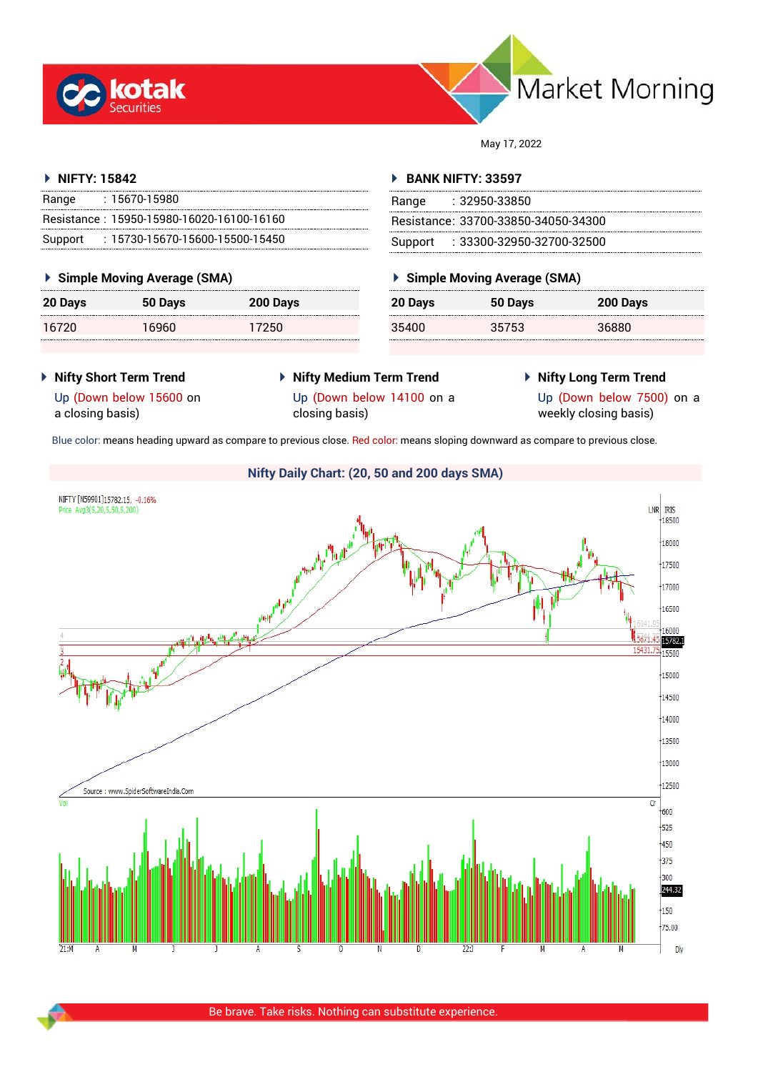



May 17, 2022

## **NIFTY: 15842**

| Range | : 15670-15980                             |
|-------|-------------------------------------------|
|       | Resistance: 15950-15980-16020-16100-16160 |
|       | Support: : 15730-15670-15600-15500-15450  |

#### **Simple Moving Average (SMA)**

| 20 Days | 50 Days | 200 Days |
|---------|---------|----------|
| 16720   | 16960   | 17250    |

#### **BANK NIFTY: 33597**

| Range | - 32950-33850                       |
|-------|-------------------------------------|
|       | Resistance: 33700-33850-34050-34300 |
|       | Support : 33300-32950-32700-32500   |

## **Simple Moving Average (SMA)**

| 20 Days | 50 Days | 200 Days |
|---------|---------|----------|
| 35400   | 35753   | 36880    |

- **Nifty Short Term Trend**
- **Nifty Medium Term Trend** Up (Down below 14100 on a
- **Nifty Long Term Trend**

Up (Down below 15600 on a closing basis)

- closing basis)
- Up (Down below 7500) on a weekly closing basis)

Blue color: means heading upward as compare to previous close. Red color: means sloping downward as compare to previous close.

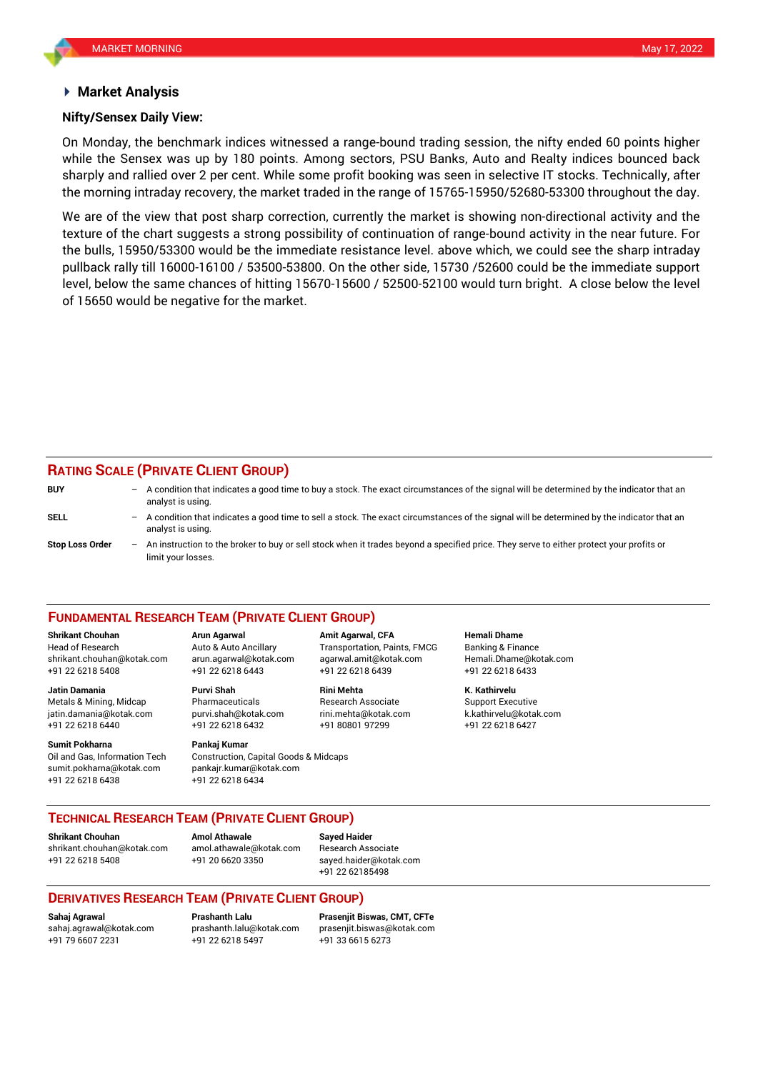#### **Market Analysis**

#### **Nifty/Sensex Daily View:**

On Monday, the benchmark indices witnessed a range-bound trading session, the nifty ended 60 points higher while the Sensex was up by 180 points. Among sectors, PSU Banks, Auto and Realty indices bounced back sharply and rallied over 2 per cent. While some profit booking was seen in selective IT stocks. Technically, after the morning intraday recovery, the market traded in the range of 15765-15950/52680-53300 throughout the day.

We are of the view that post sharp correction, currently the market is showing non-directional activity and the texture of the chart suggests a strong possibility of continuation of range-bound activity in the near future. For the bulls, 15950/53300 would be the immediate resistance level. above which, we could see the sharp intraday pullback rally till 16000-16100 / 53500-53800. On the other side, 15730 /52600 could be the immediate support level, below the same chances of hitting 15670-15600 / 52500-52100 would turn bright. A close below the level of 15650 would be negative for the market.

# **RATING SCALE (PRIVATE CLIENT GROUP)**

| <b>BUY</b>      | $-$ | A condition that indicates a good time to buy a stock. The exact circumstances of the signal will be determined by the indicator that an<br>analyst is using.    |
|-----------------|-----|------------------------------------------------------------------------------------------------------------------------------------------------------------------|
| SELL            |     | - A condition that indicates a good time to sell a stock. The exact circumstances of the signal will be determined by the indicator that an<br>analyst is using. |
| Stop Loss Order |     | - An instruction to the broker to buy or sell stock when it trades beyond a specified price. They serve to either protect your profits or<br>limit your losses.  |

#### **FUNDAMENTAL RESEARCH TEAM (PRIVATE CLIENT GROUP)**

Head of Research Auto & Auto Ancillary Transportation, Paints, FMCG Banking & Finance [shrikant.chouhan@kotak.com](mailto:shrikant.chouhan@kotak.com) arun.agarwal@kotak.com agarwal.amit@kotak.com Hemali.Dhame@kotak.com

**Jatin Damania Purvi Shah Rini Mehta K. Kathirvelu** Metals & Mining, Midcap Pharmaceuticals Research Associate Support Executive jatin.damania@kotak.com [purvi.shah@kotak.com](mailto:purvi.shah@kotak.com) rini.mehta@kotak.com [k.kathirvelu@kotak.com](mailto:k.kathirvelu@kotak.com) +91 22 6218 6440 +91 22 6218 6432 +91 80801 97299 +91 22 6218 6427

**Sumit Pokharna** Pankaj Kumar Oil and Gas, Information Tech Construction, Capital Goods & Midcaps sumit.pokharna@kotak.com pankajr.kumar@kotak.com +91 22 6218 6438 +91 22 6218 6434

**Shrikant Chouhan Arun Agarwal Amit Agarwal, CFA Hemali Dhame** +91 22 6218 5408 +91 22 6218 6443 +91 22 6218 6439 +91 22 6218 6433

#### **TECHNICAL RESEARCH TEAM (PRIVATE CLIENT GROUP)**

**Shrikant Chouhan Amol Athawale Sayed Haider**

[shrikant.chouhan@kotak.com](mailto:shrikant.chouhan@kotak.com) [amol.athawale@kotak.com](mailto:amol.athawale@kotak.com) Research Associate +91 22 6218 5408 +91 20 6620 3350 [sayed.haider@kotak.com](mailto:sayed.haider@kotak.com)

+91 22 62185498

## **DERIVATIVES RESEARCH TEAM (PRIVATE CLIENT GROUP)**

+91 22 6218 5497 +91 33 6615 6273

**Sahaj Agrawal Prashanth Lalu Prasenjit Biswas, CMT, CFTe** [sahaj.agrawal@kotak.com](mailto:sahaj.agrawal@kotak.com) [prashanth.lalu@kotak.com](mailto:prashanth.lalu@kotak.com) [prasenjit.biswas@kotak.com](mailto:prasenjit.biswas@kotak.com)